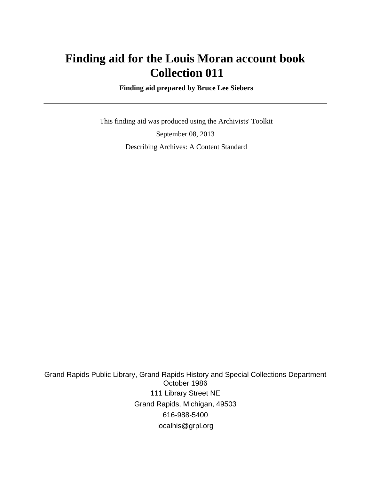# **Finding aid for the Louis Moran account book Collection 011**

 **Finding aid prepared by Bruce Lee Siebers**

 This finding aid was produced using the Archivists' Toolkit September 08, 2013 Describing Archives: A Content Standard

Grand Rapids Public Library, Grand Rapids History and Special Collections Department October 1986 111 Library Street NE Grand Rapids, Michigan, 49503 616-988-5400 localhis@grpl.org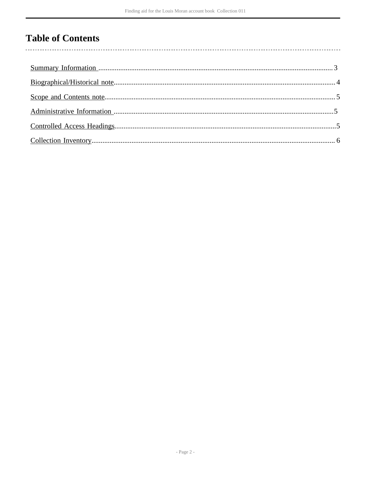## **Table of Contents**

l,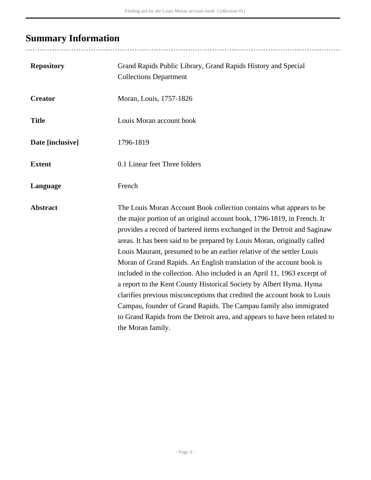# <span id="page-2-0"></span>**Summary Information**

| <b>Repository</b> | Grand Rapids Public Library, Grand Rapids History and Special<br><b>Collections Department</b>                                                                                                                                                                                                                                                                                                                                                                                                                                                                                                                                                                                                                                                                                                                                                                     |
|-------------------|--------------------------------------------------------------------------------------------------------------------------------------------------------------------------------------------------------------------------------------------------------------------------------------------------------------------------------------------------------------------------------------------------------------------------------------------------------------------------------------------------------------------------------------------------------------------------------------------------------------------------------------------------------------------------------------------------------------------------------------------------------------------------------------------------------------------------------------------------------------------|
| <b>Creator</b>    | Moran, Louis, 1757-1826                                                                                                                                                                                                                                                                                                                                                                                                                                                                                                                                                                                                                                                                                                                                                                                                                                            |
| <b>Title</b>      | Louis Moran account book                                                                                                                                                                                                                                                                                                                                                                                                                                                                                                                                                                                                                                                                                                                                                                                                                                           |
| Date [inclusive]  | 1796-1819                                                                                                                                                                                                                                                                                                                                                                                                                                                                                                                                                                                                                                                                                                                                                                                                                                                          |
| <b>Extent</b>     | 0.1 Linear feet Three folders                                                                                                                                                                                                                                                                                                                                                                                                                                                                                                                                                                                                                                                                                                                                                                                                                                      |
| Language          | French                                                                                                                                                                                                                                                                                                                                                                                                                                                                                                                                                                                                                                                                                                                                                                                                                                                             |
| <b>Abstract</b>   | The Louis Moran Account Book collection contains what appears to be<br>the major portion of an original account book, 1796-1819, in French. It<br>provides a record of bartered items exchanged in the Detroit and Saginaw<br>areas. It has been said to be prepared by Louis Moran, originally called<br>Louis Maurant, presumed to be an earlier relative of the settler Louis<br>Moran of Grand Rapids. An English translation of the account book is<br>included in the collection. Also included is an April 11, 1963 excerpt of<br>a report to the Kent County Historical Society by Albert Hyma. Hyma<br>clarifies previous misconceptions that credited the account book to Louis<br>Campau, founder of Grand Rapids. The Campau family also immigrated<br>to Grand Rapids from the Detroit area, and appears to have been related to<br>the Moran family. |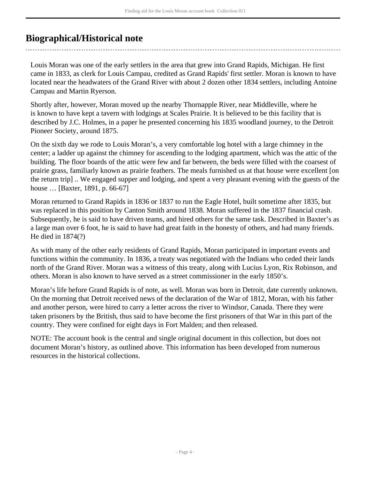### <span id="page-3-0"></span>**Biographical/Historical note**

Louis Moran was one of the early settlers in the area that grew into Grand Rapids, Michigan. He first came in 1833, as clerk for Louis Campau, credited as Grand Rapids' first settler. Moran is known to have located near the headwaters of the Grand River with about 2 dozen other 1834 settlers, including Antoine Campau and Martin Ryerson.

Shortly after, however, Moran moved up the nearby Thornapple River, near Middleville, where he is known to have kept a tavern with lodgings at Scales Prairie. It is believed to be this facility that is described by J.C. Holmes, in a paper he presented concerning his 1835 woodland journey, to the Detroit Pioneer Society, around 1875.

On the sixth day we rode to Louis Moran's, a very comfortable log hotel with a large chimney in the center; a ladder up against the chimney for ascending to the lodging apartment, which was the attic of the building. The floor boards of the attic were few and far between, the beds were filled with the coarsest of prairie grass, familiarly known as prairie feathers. The meals furnished us at that house were excellent [on the return trip] .. We engaged supper and lodging, and spent a very pleasant evening with the guests of the house … [Baxter, 1891, p. 66-67]

Moran returned to Grand Rapids in 1836 or 1837 to run the Eagle Hotel, built sometime after 1835, but was replaced in this position by Canton Smith around 1838. Moran suffered in the 1837 financial crash. Subsequently, he is said to have driven teams, and hired others for the same task. Described in Baxter's as a large man over 6 foot, he is said to have had great faith in the honesty of others, and had many friends. He died in 1874(?)

As with many of the other early residents of Grand Rapids, Moran participated in important events and functions within the community. In 1836, a treaty was negotiated with the Indians who ceded their lands north of the Grand River. Moran was a witness of this treaty, along with Lucius Lyon, Rix Robinson, and others. Moran is also known to have served as a street commissioner in the early 1850's.

Moran's life before Grand Rapids is of note, as well. Moran was born in Detroit, date currently unknown. On the morning that Detroit received news of the declaration of the War of 1812, Moran, with his father and another person, were hired to carry a letter across the river to Windsor, Canada. There they were taken prisoners by the British, thus said to have become the first prisoners of that War in this part of the country. They were confined for eight days in Fort Malden; and then released.

NOTE: The account book is the central and single original document in this collection, but does not document Moran's history, as outlined above. This information has been developed from numerous resources in the historical collections.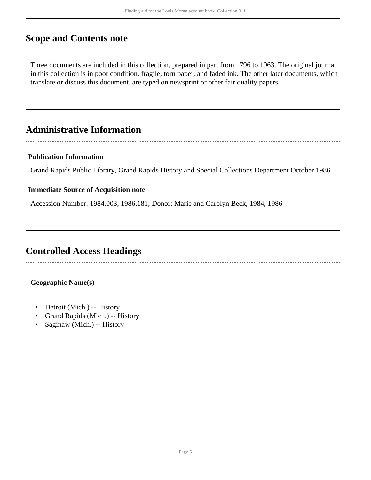### <span id="page-4-0"></span>**Scope and Contents note**

Three documents are included in this collection, prepared in part from 1796 to 1963. The original journal in this collection is in poor condition, fragile, torn paper, and faded ink. The other later documents, which translate or discuss this document, are typed on newsprint or other fair quality papers.

## <span id="page-4-1"></span>**Administrative Information**

#### **Publication Information**

Grand Rapids Public Library, Grand Rapids History and Special Collections Department October 1986

#### **Immediate Source of Acquisition note**

Accession Number: 1984.003, 1986.181; Donor: Marie and Carolyn Beck, 1984, 1986

### <span id="page-4-2"></span>**Controlled Access Headings**

#### **Geographic Name(s)**

- Detroit (Mich.) -- History
- Grand Rapids (Mich.) -- History
- Saginaw (Mich.) -- History